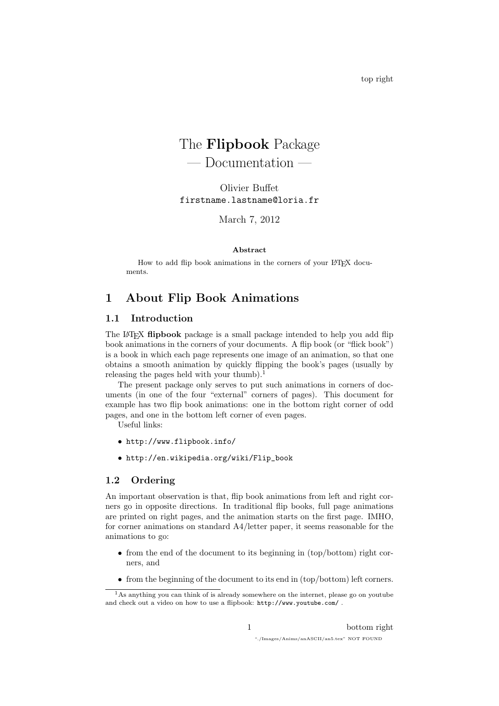# The Flipbook Package

— Documentation —

Olivier Buffet firstname.lastname@loria.fr

March 7, 2012

#### Abstract

How to add flip book animations in the corners of your LAT<sub>EX</sub> documents.

# 1 About Flip Book Animations

# 1.1 Introduction

The LAT<sub>EX</sub> flipbook package is a small package intended to help you add flip book animations in the corners of your documents. A flip book (or "flick book") is a book in which each page represents one image of an animation, so that one obtains a smooth animation by quickly flipping the book's pages (usually by releasing the pages held with your thumb).<sup>1</sup>

The present package only serves to put such animations in corners of documents (in one of the four "external" corners of pages). This document for example has two flip book animations: one in the bottom right corner of odd pages, and one in the bottom left corner of even pages.

Useful links:

- http://www.flipbook.info/
- http://en.wikipedia.org/wiki/Flip\_book

## 1.2 Ordering

An important observation is that, flip book animations from left and right corners go in opposite directions. In traditional flip books, full page animations are printed on right pages, and the animation starts on the first page. IMHO, for corner animations on standard A4/letter paper, it seems reasonable for the animations to go:

- from the end of the document to its beginning in (top/bottom) right corners, and
- from the beginning of the document to its end in (top/bottom) left corners.

<sup>&</sup>lt;sup>1</sup>As anything you can think of is already somewhere on the internet, please go on youtube and check out a video on how to use a flipbook: http://www.youtube.com/ .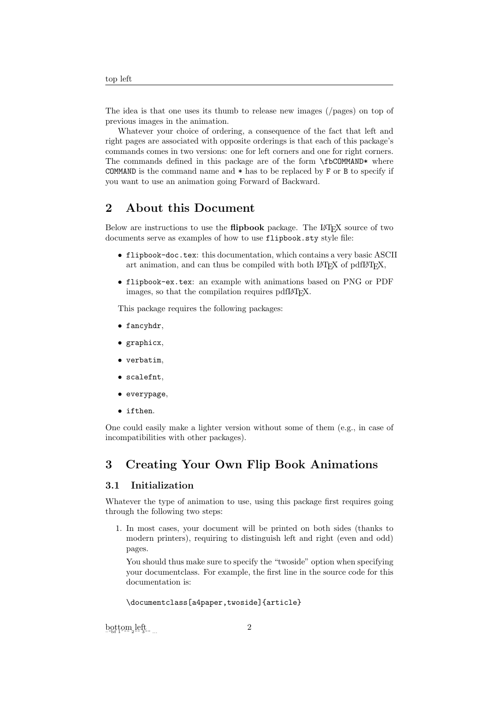The idea is that one uses its thumb to release new images (/pages) on top of previous images in the animation.

Whatever your choice of ordering, a consequence of the fact that left and right pages are associated with opposite orderings is that each of this package's commands comes in two versions: one for left corners and one for right corners. The commands defined in this package are of the form \fbCOMMAND\* where COMMAND is the command name and  $*$  has to be replaced by F or B to specify if you want to use an animation going Forward of Backward.

# 2 About this Document

Below are instructions to use the **flipbook** package. The L<sup>A</sup>T<sub>EX</sub> source of two documents serve as examples of how to use flipbook.sty style file:

- flipbook-doc.tex: this documentation, which contains a very basic ASCII art animation, and can thus be compiled with both  $\text{LATEX}$  of pdf $\text{LATEX}$ ,
- flipbook-ex.tex: an example with animations based on PNG or PDF images, so that the compilation requires pdfI $\Delta T$ <sub>EX</sub>.

This package requires the following packages:

- fancyhdr,
- graphicx,
- verbatim,
- scalefnt,
- everypage,
- ifthen.

One could easily make a lighter version without some of them (e.g., in case of incompatibilities with other packages).

# 3 Creating Your Own Flip Book Animations

## 3.1 Initialization

Whatever the type of animation to use, using this package first requires going through the following two steps:

1. In most cases, your document will be printed on both sides (thanks to modern printers), requiring to distinguish left and right (even and odd) pages.

You should thus make sure to specify the "twoside" option when specifying your documentclass. For example, the first line in the source code for this documentation is:

\documentclass[a4paper.twoside]{article}

 $\mathrm{b}$ ottom $_2$ left...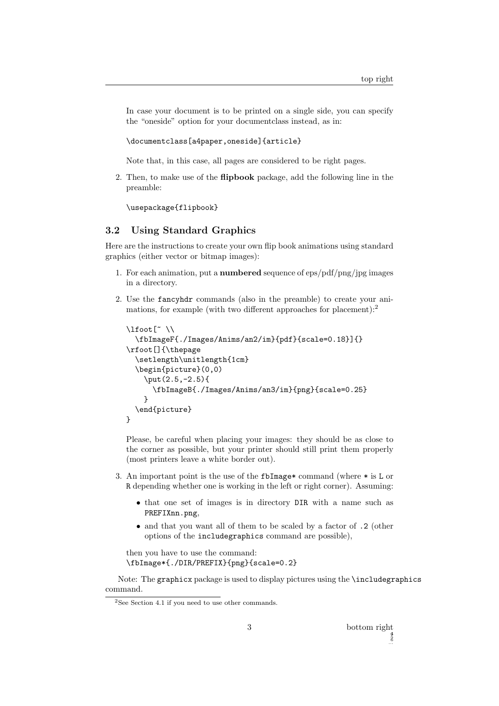In case your document is to be printed on a single side, you can specify the "oneside" option for your documentclass instead, as in:

\documentclass[a4paper,oneside]{article}

Note that, in this case, all pages are considered to be right pages.

2. Then, to make use of the flipbook package, add the following line in the preamble:

\usepackage{flipbook}

# 3.2 Using Standard Graphics

Here are the instructions to create your own flip book animations using standard graphics (either vector or bitmap images):

- 1. For each animation, put a **numbered** sequence of  $\text{eps}/\text{pdf}/\text{png}/\text{ipg}$  images in a directory.
- 2. Use the fancyhdr commands (also in the preamble) to create your animations, for example (with two different approaches for placement):<sup>2</sup>

```
\lfoot[~ \\
  \fbImageF{./Images/Anims/an2/im}{pdf}{scale=0.18}]{}
\rfoot[]{\thepage
  \setlength\unitlength{1cm}
  \begin{picture}(0,0)
    \put(2.5,-2.5){
      \fbImageB{./Images/Anims/an3/im}{png}{scale=0.25}
    }
  \end{picture}
}
```
Please, be careful when placing your images: they should be as close to the corner as possible, but your printer should still print them properly (most printers leave a white border out).

- 3. An important point is the use of the fbImage\* command (where \* is L or R depending whether one is working in the left or right corner). Assuming:
	- that one set of images is in directory DIR with a name such as PREFIXnn.png,
	- and that you want all of them to be scaled by a factor of .2 (other options of the includegraphics command are possible),

```
then you have to use the command:
\fbImage*{./DIR/PREFIX}{png}{scale=0.2}
```
Note: The graphicx package is used to display pictures using the \includegraphics command.

<sup>2</sup>See Section 4.1 if you need to use other commands.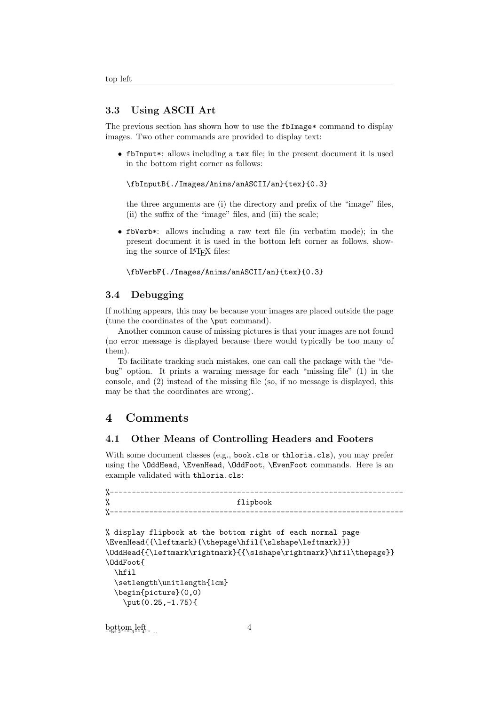#### 3.3 Using ASCII Art

The previous section has shown how to use the fbImage\* command to display images. Two other commands are provided to display text:

• fbInput\*: allows including a tex file; in the present document it is used in the bottom right corner as follows:

\fbInputB{./Images/Anims/anASCII/an}{tex}{0.3}

the three arguments are (i) the directory and prefix of the "image" files, (ii) the suffix of the "image" files, and (iii) the scale;

• fbVerb\*: allows including a raw text file (in verbatim mode); in the present document it is used in the bottom left corner as follows, showing the source of LAT<sub>EX</sub> files:

```
\fbVerbF{./Images/Anims/anASCII/an}{tex}{0.3}
```
#### 3.4 Debugging

If nothing appears, this may be because your images are placed outside the page (tune the coordinates of the \put command).

Another common cause of missing pictures is that your images are not found (no error message is displayed because there would typically be too many of them).

To facilitate tracking such mistakes, one can call the package with the "debug" option. It prints a warning message for each "missing file" (1) in the console, and (2) instead of the missing file (so, if no message is displayed, this may be that the coordinates are wrong).

# 4 Comments

## 4.1 Other Means of Controlling Headers and Footers

With some document classes (e.g., book.cls or thloria.cls), you may prefer using the **\OddHead, \EvenHead, \OddFoot, \EvenFoot** commands. Here is an example validated with thloria.cls:

```
%-------------------------------------------------------------------
% flipbook
%-------------------------------------------------------------------
% display flipbook at the bottom right of each normal page
\EvenHead{{\leftmark}{\thepage\hfil{\slshape\leftmark}}}
\OddHead{{\leftmark\rightmark}{{\slshape\rightmark}\hfil\thepage}}
\OddFoot{
  \hfil
  \setlength\unitlength{1cm}
  \begin{picture}(0,0)
    \put(0.25,-1.75){
\mathrm{b} \mathrm{q} \mathrm{t} \mathrm{t}om_{\mathrm{3}}lef_{\mathrm{4}}tanding ...
                                    4
```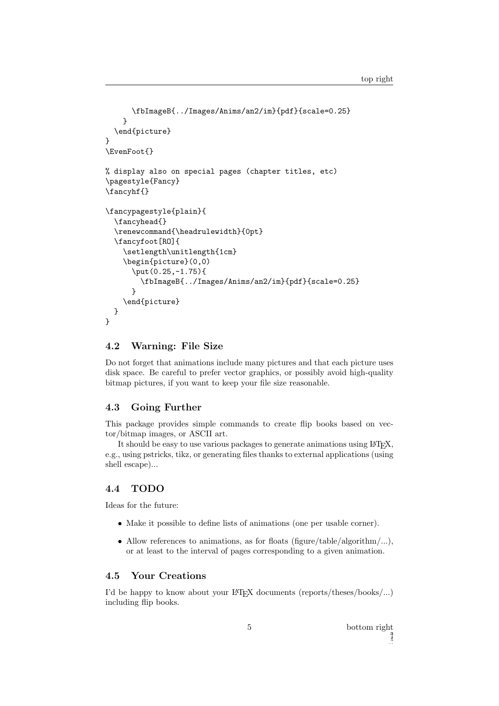```
\fbImageB{../Images/Anims/an2/im}{pdf}{scale=0.25}
    }
  \end{picture}
}
\EvenFoot{}
% display also on special pages (chapter titles, etc)
\pagestyle{Fancy}
\fancyhf{}
\fancypagestyle{plain}{
  \fancyhead{}
  \renewcommand{\headrulewidth}{0pt}
  \fancyfoot[RO]{
    \setlength\unitlength{1cm}
    \begin{picture}(0,0)
      \put(0.25,-1.75){
        \fbImageB{../Images/Anims/an2/im}{pdf}{scale=0.25}
      }
    \end{picture}
 }
}
```
### 4.2 Warning: File Size

Do not forget that animations include many pictures and that each picture uses disk space. Be careful to prefer vector graphics, or possibly avoid high-quality bitmap pictures, if you want to keep your file size reasonable.

# 4.3 Going Further

This package provides simple commands to create flip books based on vector/bitmap images, or ASCII art.

It should be easy to use various packages to generate animations using LAT<sub>E</sub>X, e.g., using pstricks, tikz, or generating files thanks to external applications (using shell escape)...

#### 4.4 TODO

Ideas for the future:

- Make it possible to define lists of animations (one per usable corner).
- Allow references to animations, as for floats (figure/table/algorithm/...), or at least to the interval of pages corresponding to a given animation.

## 4.5 Your Creations

I'd be happy to know about your LAT<sub>EX</sub> documents (reports/theses/books/...) including flip books.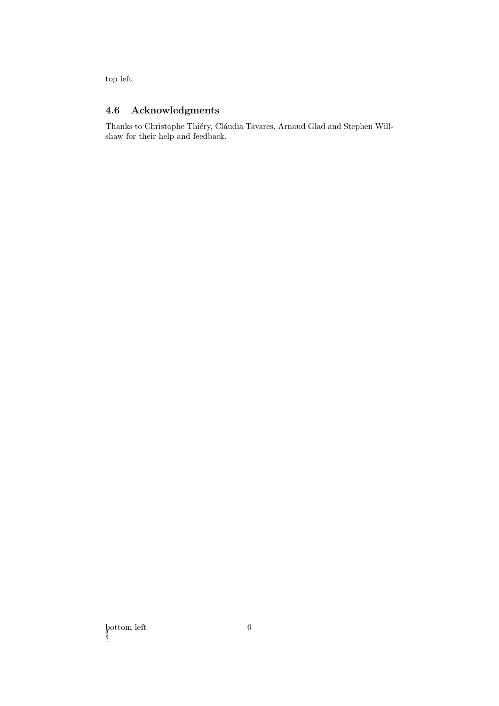# 4.6 Acknowledgments

Thanks to Christophe Thiéry, Cláudia Tavares, Arnaud Glad and Stephen Willshaw for their help and feedback.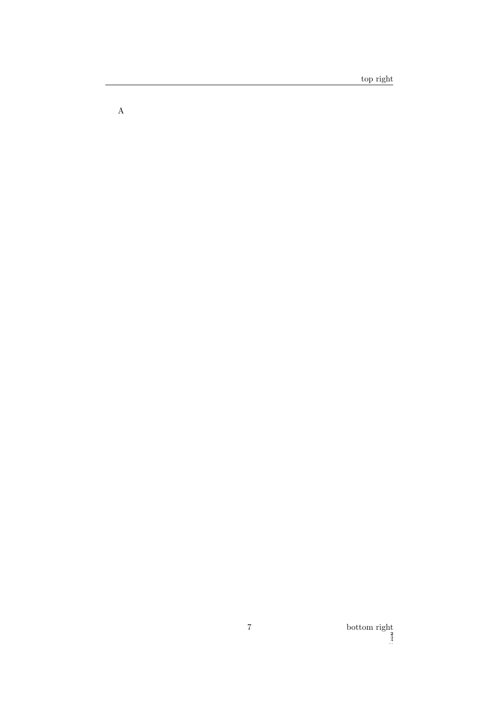$\mathbf A$ 

bottom right  $\frac{2}{3}$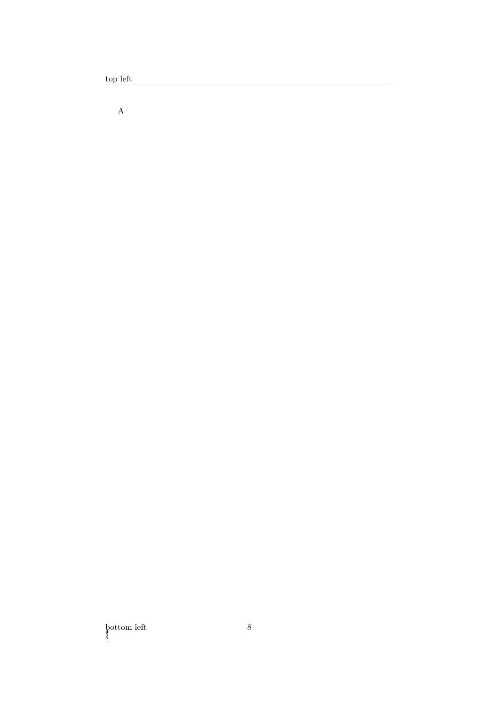$\operatorname{top}$  left

 $\mathbf A$ 

 $\underset{\underset{\ldots}}{\text{bottom left}}$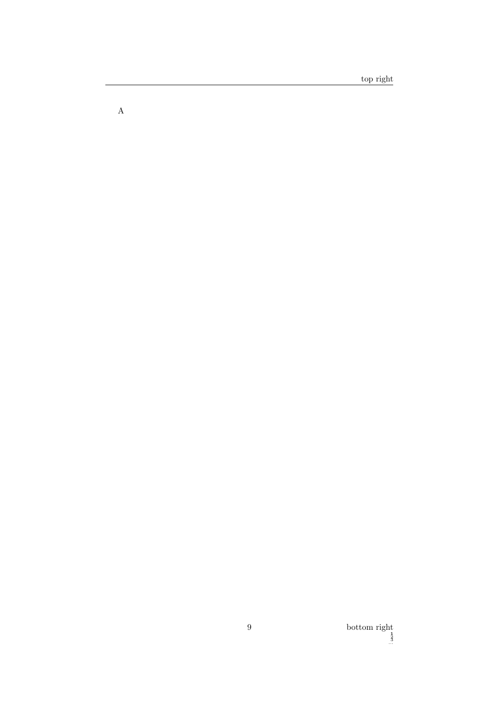$\mathbf A$ 

bottom right  $\frac{1}{3}$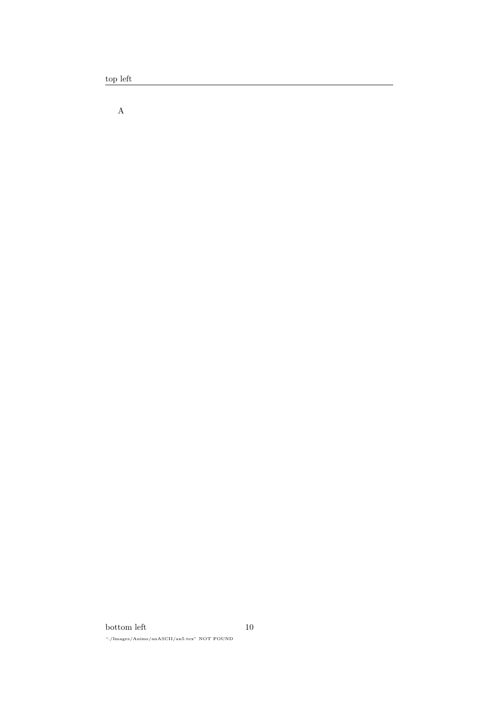top left

 $\mathbf A$ 

 $\rm bottom$   $\rm left$ "./Images/Anims/anASCII/an5.tex" NOT FOUND  $10\,$